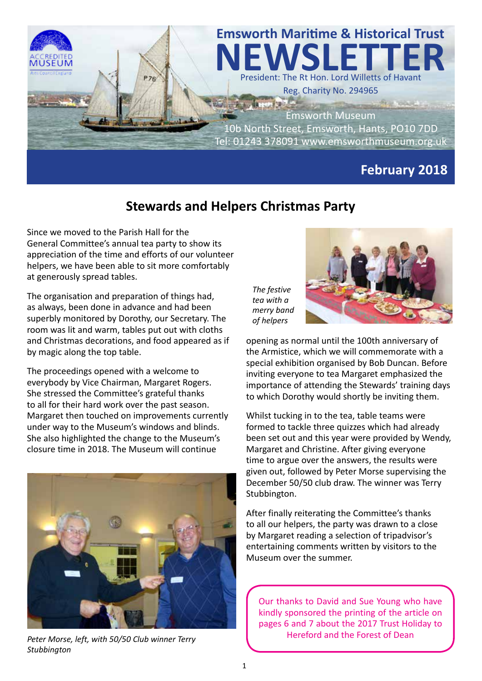

## **Stewards and Helpers Christmas Party**

Since we moved to the Parish Hall for the General Committee's annual tea party to show its appreciation of the time and efforts of our volunteer helpers, we have been able to sit more comfortably at generously spread tables.

The organisation and preparation of things had, as always, been done in advance and had been superbly monitored by Dorothy, our Secretary. The room was lit and warm, tables put out with cloths and Christmas decorations, and food appeared as if by magic along the top table.

The proceedings opened with a welcome to everybody by Vice Chairman, Margaret Rogers. She stressed the Committee's grateful thanks to all for their hard work over the past season. Margaret then touched on improvements currently under way to the Museum's windows and blinds. She also highlighted the change to the Museum's closure time in 2018. The Museum will continue



*Peter Morse, left, with 50/50 Club winner Terry Stubbington*

*The festive tea with a merry band of helpers*



opening as normal until the 100th anniversary of the Armistice, which we will commemorate with a special exhibition organised by Bob Duncan. Before inviting everyone to tea Margaret emphasized the importance of attending the Stewards' training days to which Dorothy would shortly be inviting them.

Whilst tucking in to the tea, table teams were formed to tackle three quizzes which had already been set out and this year were provided by Wendy, Margaret and Christine. After giving everyone time to argue over the answers, the results were given out, followed by Peter Morse supervising the December 50/50 club draw. The winner was Terry Stubbington.

After finally reiterating the Committee's thanks to all our helpers, the party was drawn to a close by Margaret reading a selection of tripadvisor's entertaining comments written by visitors to the Museum over the summer.

Our thanks to David and Sue Young who have kindly sponsored the printing of the article on pages 6 and 7 about the 2017 Trust Holiday to Hereford and the Forest of Dean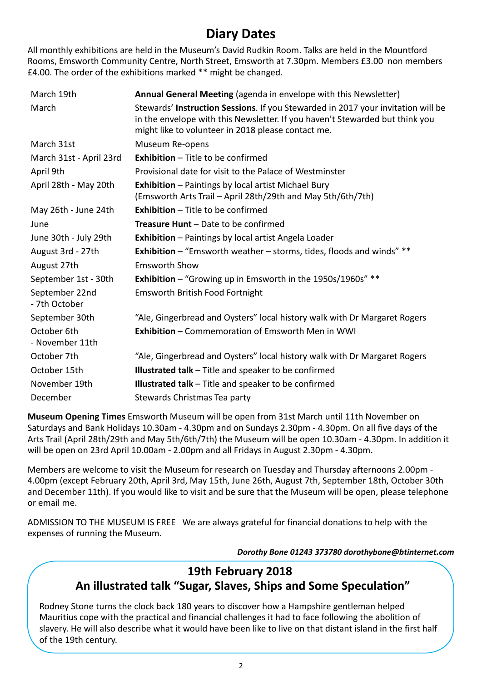# **Diary Dates**

All monthly exhibitions are held in the Museum's David Rudkin Room. Talks are held in the Mountford Rooms, Emsworth Community Centre, North Street, Emsworth at 7.30pm. Members £3.00 non members £4.00. The order of the exhibitions marked \*\* might be changed.

| March 19th                      | Annual General Meeting (agenda in envelope with this Newsletter)                                                                                                                                                       |
|---------------------------------|------------------------------------------------------------------------------------------------------------------------------------------------------------------------------------------------------------------------|
| March                           | Stewards' Instruction Sessions. If you Stewarded in 2017 your invitation will be<br>in the envelope with this Newsletter. If you haven't Stewarded but think you<br>might like to volunteer in 2018 please contact me. |
| March 31st                      | Museum Re-opens                                                                                                                                                                                                        |
| March 31st - April 23rd         | <b>Exhibition - Title to be confirmed</b>                                                                                                                                                                              |
| April 9th                       | Provisional date for visit to the Palace of Westminster                                                                                                                                                                |
| April 28th - May 20th           | <b>Exhibition</b> - Paintings by local artist Michael Bury<br>(Emsworth Arts Trail - April 28th/29th and May 5th/6th/7th)                                                                                              |
| May 26th - June 24th            | <b>Exhibition - Title to be confirmed</b>                                                                                                                                                                              |
| June                            | <b>Treasure Hunt - Date to be confirmed</b>                                                                                                                                                                            |
| June 30th - July 29th           | Exhibition - Paintings by local artist Angela Loader                                                                                                                                                                   |
| August 3rd - 27th               | <b>Exhibition</b> – "Emsworth weather – storms, tides, floods and winds" **                                                                                                                                            |
| August 27th                     | <b>Emsworth Show</b>                                                                                                                                                                                                   |
| September 1st - 30th            | <b>Exhibition</b> - "Growing up in Emsworth in the 1950s/1960s" **                                                                                                                                                     |
| September 22nd<br>- 7th October | <b>Emsworth British Food Fortnight</b>                                                                                                                                                                                 |
| September 30th                  | "Ale, Gingerbread and Oysters" local history walk with Dr Margaret Rogers                                                                                                                                              |
| October 6th<br>- November 11th  | <b>Exhibition - Commemoration of Emsworth Men in WWI</b>                                                                                                                                                               |
| October 7th                     | "Ale, Gingerbread and Oysters" local history walk with Dr Margaret Rogers                                                                                                                                              |
| October 15th                    | <b>Illustrated talk</b> - Title and speaker to be confirmed                                                                                                                                                            |
| November 19th                   | <b>Illustrated talk</b> – Title and speaker to be confirmed                                                                                                                                                            |
| December                        | Stewards Christmas Tea party                                                                                                                                                                                           |

**Museum Opening Times** Emsworth Museum will be open from 31st March until 11th November on Saturdays and Bank Holidays 10.30am - 4.30pm and on Sundays 2.30pm - 4.30pm. On all five days of the Arts Trail (April 28th/29th and May 5th/6th/7th) the Museum will be open 10.30am - 4.30pm. In addition it will be open on 23rd April 10.00am - 2.00pm and all Fridays in August 2.30pm - 4.30pm.

Members are welcome to visit the Museum for research on Tuesday and Thursday afternoons 2.00pm - 4.00pm (except February 20th, April 3rd, May 15th, June 26th, August 7th, September 18th, October 30th and December 11th). If you would like to visit and be sure that the Museum will be open, please telephone or email me.

ADMISSION TO THE MUSEUM IS FREE We are always grateful for financial donations to help with the expenses of running the Museum.

 *Dorothy Bone 01243 373780 dorothybone@btinternet.com*

## **19th February 2018 An illustrated talk "Sugar, Slaves, Ships and Some Speculation"**

Rodney Stone turns the clock back 180 years to discover how a Hampshire gentleman helped Mauritius cope with the practical and financial challenges it had to face following the abolition of slavery. He will also describe what it would have been like to live on that distant island in the first half of the 19th century.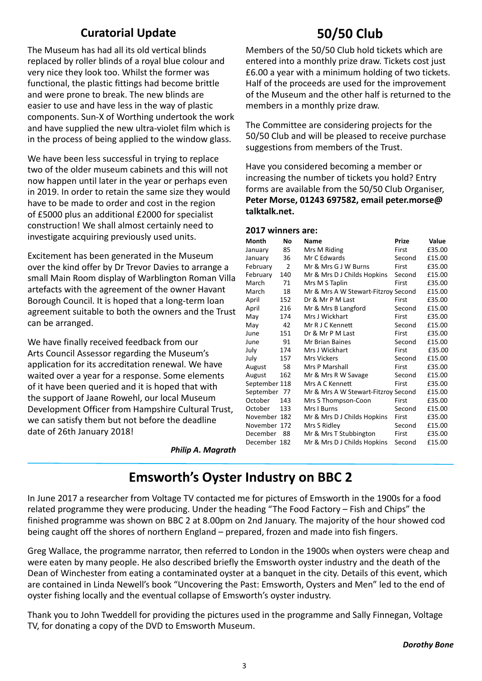### **Curatorial Update**

The Museum has had all its old vertical blinds replaced by roller blinds of a royal blue colour and very nice they look too. Whilst the former was functional, the plastic fittings had become brittle and were prone to break. The new blinds are easier to use and have less in the way of plastic components. Sun-X of Worthing undertook the work and have supplied the new ultra-violet film which is in the process of being applied to the window glass.

We have been less successful in trying to replace two of the older museum cabinets and this will not now happen until later in the year or perhaps even in 2019. In order to retain the same size they would have to be made to order and cost in the region of £5000 plus an additional £2000 for specialist construction! We shall almost certainly need to investigate acquiring previously used units.

Excitement has been generated in the Museum over the kind offer by Dr Trevor Davies to arrange a small Main Room display of Warblington Roman Villa artefacts with the agreement of the owner Havant Borough Council. It is hoped that a long-term loan agreement suitable to both the owners and the Trust can be arranged.

We have finally received feedback from our Arts Council Assessor regarding the Museum's application for its accreditation renewal. We have waited over a year for a response. Some elements of it have been queried and it is hoped that with the support of Jaane Rowehl, our local Museum Development Officer from Hampshire Cultural Trust, we can satisfy them but not before the deadline date of 26th January 2018!

# **50/50 Club**

Members of the 50/50 Club hold tickets which are entered into a monthly prize draw. Tickets cost just £6.00 a year with a minimum holding of two tickets. Half of the proceeds are used for the improvement of the Museum and the other half is returned to the members in a monthly prize draw.

The Committee are considering projects for the 50/50 Club and will be pleased to receive purchase suggestions from members of the Trust.

Have you considered becoming a member or increasing the number of tickets you hold? Entry forms are available from the 50/50 Club Organiser, **Peter Morse, 01243 697582, email peter.morse@ talktalk.net.** 

#### **2017 winners are:**

| Month         | Νo             | <b>Name</b>                         | Prize  | Value  |
|---------------|----------------|-------------------------------------|--------|--------|
| January       | 85             | Mrs M Riding                        | First  | £35.00 |
| January       | 36             | Mr C Edwards                        | Second | £15.00 |
| February      | $\overline{2}$ | Mr & Mrs G J W Burns                | First  | £35.00 |
| February      | 140            | Mr & Mrs D J Childs Hopkins         | Second | £15.00 |
| March         | 71             | Mrs M S Taplin                      | First  | £35.00 |
| March         | 18             | Mr & Mrs A W Stewart-Fitzroy Second |        | £15.00 |
| April         | 152            | Dr & Mr P M Last                    | First  | £35.00 |
| April         | 216            | Mr & Mrs B Langford                 | Second | £15.00 |
| May           | 174            | Mrs J Wickhart                      | First  | £35.00 |
| May           | 42             | Mr R J C Kennett                    | Second | £15.00 |
| June          | 151            | Dr & Mr P M Last                    | First  | £35.00 |
| June          | 91             | <b>Mr Brian Baines</b>              | Second | £15.00 |
| July          | 174            | Mrs J Wickhart                      | First  | £35.00 |
| July          | 157            | <b>Mrs Vickers</b>                  | Second | £15.00 |
| August        | 58             | Mrs P Marshall                      | First  | £35.00 |
| August        | 162            | Mr & Mrs R W Savage                 | Second | £15.00 |
| September 118 |                | Mrs A C Kennett                     | First  | £35.00 |
| September 77  |                | Mr & Mrs A W Stewart-Fitzroy Second |        | £15.00 |
| October       | 143            | Mrs S Thompson-Coon                 | First  | £35.00 |
| October       | 133            | Mrs I Burns                         | Second | £15.00 |
| November 182  |                | Mr & Mrs D J Childs Hopkins         | First  | £35.00 |
| November 172  |                | Mrs S Ridley                        | Second | £15.00 |
| December      | 88             | Mr & Mrs T Stubbington              | First  | £35.00 |
| December 182  |                | Mr & Mrs D J Childs Hopkins         | Second | £15.00 |

*Philip A. Magrath*

# **Emsworth's Oyster Industry on BBC 2**

In June 2017 a researcher from Voltage TV contacted me for pictures of Emsworth in the 1900s for a food related programme they were producing. Under the heading "The Food Factory – Fish and Chips" the finished programme was shown on BBC 2 at 8.00pm on 2nd January. The majority of the hour showed cod being caught off the shores of northern England – prepared, frozen and made into fish fingers.

Greg Wallace, the programme narrator, then referred to London in the 1900s when oysters were cheap and were eaten by many people. He also described briefly the Emsworth oyster industry and the death of the Dean of Winchester from eating a contaminated oyster at a banquet in the city. Details of this event, which are contained in Linda Newell's book "Uncovering the Past: Emsworth, Oysters and Men" led to the end of oyster fishing locally and the eventual collapse of Emsworth's oyster industry.

Thank you to John Tweddell for providing the pictures used in the programme and Sally Finnegan, Voltage TV, for donating a copy of the DVD to Emsworth Museum.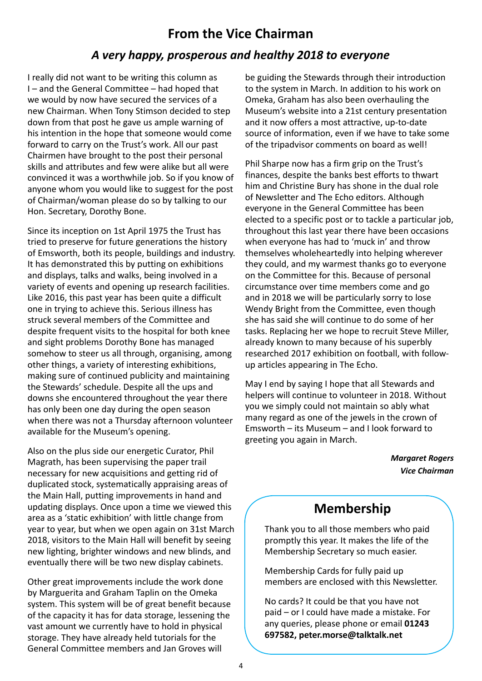### **From the Vice Chairman**

### *A very happy, prosperous and healthy 2018 to everyone*

I really did not want to be writing this column as I – and the General Committee – had hoped that we would by now have secured the services of a new Chairman. When Tony Stimson decided to step down from that post he gave us ample warning of his intention in the hope that someone would come forward to carry on the Trust's work. All our past Chairmen have brought to the post their personal skills and attributes and few were alike but all were convinced it was a worthwhile job. So if you know of anyone whom you would like to suggest for the post of Chairman/woman please do so by talking to our Hon. Secretary, Dorothy Bone.

Since its inception on 1st April 1975 the Trust has tried to preserve for future generations the history of Emsworth, both its people, buildings and industry. It has demonstrated this by putting on exhibitions and displays, talks and walks, being involved in a variety of events and opening up research facilities. Like 2016, this past year has been quite a difficult one in trying to achieve this. Serious illness has struck several members of the Committee and despite frequent visits to the hospital for both knee and sight problems Dorothy Bone has managed somehow to steer us all through, organising, among other things, a variety of interesting exhibitions, making sure of continued publicity and maintaining the Stewards' schedule. Despite all the ups and downs she encountered throughout the year there has only been one day during the open season when there was not a Thursday afternoon volunteer available for the Museum's opening.

Also on the plus side our energetic Curator, Phil Magrath, has been supervising the paper trail necessary for new acquisitions and getting rid of duplicated stock, systematically appraising areas of the Main Hall, putting improvements in hand and updating displays. Once upon a time we viewed this area as a 'static exhibition' with little change from year to year, but when we open again on 31st March 2018, visitors to the Main Hall will benefit by seeing new lighting, brighter windows and new blinds, and eventually there will be two new display cabinets.

Other great improvements include the work done by Marguerita and Graham Taplin on the Omeka system. This system will be of great benefit because of the capacity it has for data storage, lessening the vast amount we currently have to hold in physical storage. They have already held tutorials for the General Committee members and Jan Groves will

be guiding the Stewards through their introduction to the system in March. In addition to his work on Omeka, Graham has also been overhauling the Museum's website into a 21st century presentation and it now offers a most attractive, up-to-date source of information, even if we have to take some of the tripadvisor comments on board as well!

Phil Sharpe now has a firm grip on the Trust's finances, despite the banks best efforts to thwart him and Christine Bury has shone in the dual role of Newsletter and The Echo editors. Although everyone in the General Committee has been elected to a specific post or to tackle a particular job, throughout this last year there have been occasions when everyone has had to 'muck in' and throw themselves wholeheartedly into helping wherever they could, and my warmest thanks go to everyone on the Committee for this. Because of personal circumstance over time members come and go and in 2018 we will be particularly sorry to lose Wendy Bright from the Committee, even though she has said she will continue to do some of her tasks. Replacing her we hope to recruit Steve Miller, already known to many because of his superbly researched 2017 exhibition on football, with followup articles appearing in The Echo.

May I end by saying I hope that all Stewards and helpers will continue to volunteer in 2018. Without you we simply could not maintain so ably what many regard as one of the jewels in the crown of Emsworth – its Museum – and I look forward to greeting you again in March.

> *Margaret Rogers Vice Chairman*

# **Membership**

Thank you to all those members who paid promptly this year. It makes the life of the Membership Secretary so much easier.

Membership Cards for fully paid up members are enclosed with this Newsletter.

No cards? It could be that you have not paid – or I could have made a mistake. For any queries, please phone or email **01243 697582, peter.morse@talktalk.net**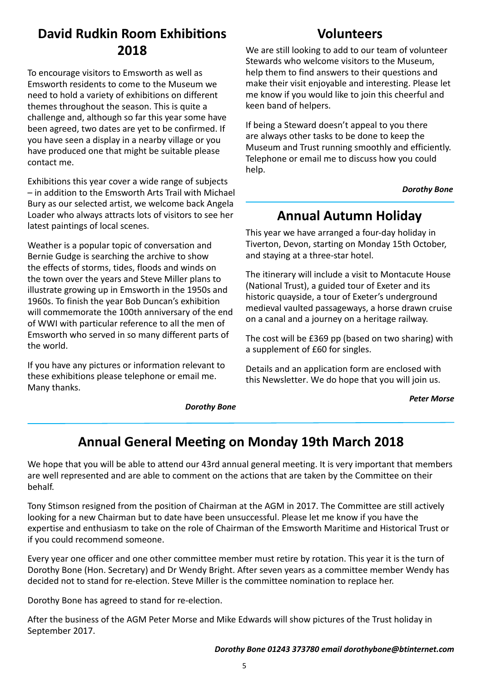# **David Rudkin Room Exhibitions 2018**

To encourage visitors to Emsworth as well as Emsworth residents to come to the Museum we need to hold a variety of exhibitions on different themes throughout the season. This is quite a challenge and, although so far this year some have been agreed, two dates are yet to be confirmed. If you have seen a display in a nearby village or you have produced one that might be suitable please contact me.

Exhibitions this year cover a wide range of subjects – in addition to the Emsworth Arts Trail with Michael Bury as our selected artist, we welcome back Angela Loader who always attracts lots of visitors to see her latest paintings of local scenes.

Weather is a popular topic of conversation and Bernie Gudge is searching the archive to show the effects of storms, tides, floods and winds on the town over the years and Steve Miller plans to illustrate growing up in Emsworth in the 1950s and 1960s. To finish the year Bob Duncan's exhibition will commemorate the 100th anniversary of the end of WWI with particular reference to all the men of Emsworth who served in so many different parts of the world.

If you have any pictures or information relevant to these exhibitions please telephone or email me. Many thanks.

#### *Dorothy Bone*

### **Volunteers**

We are still looking to add to our team of volunteer Stewards who welcome visitors to the Museum, help them to find answers to their questions and make their visit enjoyable and interesting. Please let me know if you would like to join this cheerful and keen band of helpers.

If being a Steward doesn't appeal to you there are always other tasks to be done to keep the Museum and Trust running smoothly and efficiently. Telephone or email me to discuss how you could help.

 *Dorothy Bone* 

### **Annual Autumn Holiday**

This year we have arranged a four-day holiday in Tiverton, Devon, starting on Monday 15th October, and staying at a three-star hotel.

The itinerary will include a visit to Montacute House (National Trust), a guided tour of Exeter and its historic quayside, a tour of Exeter's underground medieval vaulted passageways, a horse drawn cruise on a canal and a journey on a heritage railway.

The cost will be £369 pp (based on two sharing) with a supplement of £60 for singles.

Details and an application form are enclosed with this Newsletter. We do hope that you will join us.

#### *Peter Morse*

# **Annual General Meeting on Monday 19th March 2018**

We hope that you will be able to attend our 43rd annual general meeting. It is very important that members are well represented and are able to comment on the actions that are taken by the Committee on their behalf.

Tony Stimson resigned from the position of Chairman at the AGM in 2017. The Committee are still actively looking for a new Chairman but to date have been unsuccessful. Please let me know if you have the expertise and enthusiasm to take on the role of Chairman of the Emsworth Maritime and Historical Trust or if you could recommend someone.

Every year one officer and one other committee member must retire by rotation. This year it is the turn of Dorothy Bone (Hon. Secretary) and Dr Wendy Bright. After seven years as a committee member Wendy has decided not to stand for re-election. Steve Miller is the committee nomination to replace her.

Dorothy Bone has agreed to stand for re-election.

After the business of the AGM Peter Morse and Mike Edwards will show pictures of the Trust holiday in September 2017.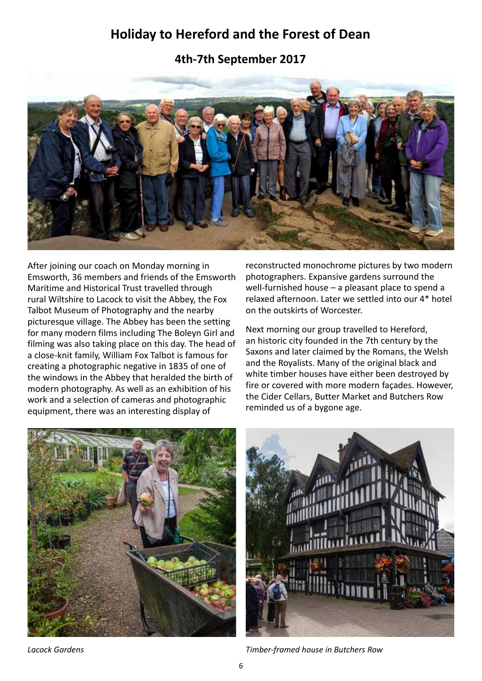## **Holiday to Hereford and the Forest of Dean**

**4th-7th September 2017**



After joining our coach on Monday morning in Emsworth, 36 members and friends of the Emsworth Maritime and Historical Trust travelled through rural Wiltshire to Lacock to visit the Abbey, the Fox Talbot Museum of Photography and the nearby picturesque village. The Abbey has been the setting for many modern films including The Boleyn Girl and filming was also taking place on this day. The head of a close-knit family, William Fox Talbot is famous for creating a photographic negative in 1835 of one of the windows in the Abbey that heralded the birth of modern photography. As well as an exhibition of his work and a selection of cameras and photographic equipment, there was an interesting display of

reconstructed monochrome pictures by two modern photographers. Expansive gardens surround the well-furnished house – a pleasant place to spend a relaxed afternoon. Later we settled into our 4\* hotel on the outskirts of Worcester.

Next morning our group travelled to Hereford, an historic city founded in the 7th century by the Saxons and later claimed by the Romans, the Welsh and the Royalists. Many of the original black and white timber houses have either been destroyed by fire or covered with more modern façades. However, the Cider Cellars, Butter Market and Butchers Row reminded us of a bygone age.







*Lacock Gardens Timber-framed house in Butchers Row*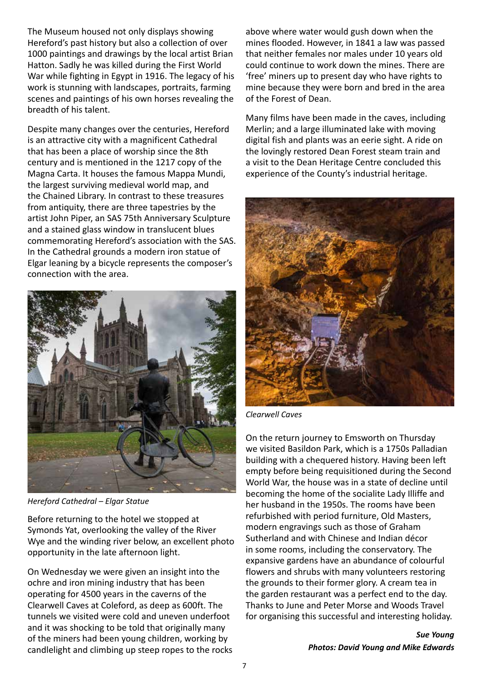The Museum housed not only displays showing Hereford's past history but also a collection of over 1000 paintings and drawings by the local artist Brian Hatton. Sadly he was killed during the First World War while fighting in Egypt in 1916. The legacy of his work is stunning with landscapes, portraits, farming scenes and paintings of his own horses revealing the breadth of his talent.

Despite many changes over the centuries, Hereford is an attractive city with a magnificent Cathedral that has been a place of worship since the 8th century and is mentioned in the 1217 copy of the Magna Carta. It houses the famous Mappa Mundi, the largest surviving medieval world map, and the Chained Library. In contrast to these treasures from antiquity, there are three tapestries by the artist John Piper, an SAS 75th Anniversary Sculpture and a stained glass window in translucent blues commemorating Hereford's association with the SAS. In the Cathedral grounds a modern iron statue of Elgar leaning by a bicycle represents the composer's connection with the area.



*Hereford Cathedral – Elgar Statue*

Before returning to the hotel we stopped at Symonds Yat, overlooking the valley of the River Wye and the winding river below, an excellent photo opportunity in the late afternoon light.

On Wednesday we were given an insight into the ochre and iron mining industry that has been operating for 4500 years in the caverns of the Clearwell Caves at Coleford, as deep as 600ft. The tunnels we visited were cold and uneven underfoot and it was shocking to be told that originally many of the miners had been young children, working by candlelight and climbing up steep ropes to the rocks

above where water would gush down when the mines flooded. However, in 1841 a law was passed that neither females nor males under 10 years old could continue to work down the mines. There are 'free' miners up to present day who have rights to mine because they were born and bred in the area of the Forest of Dean.

Many films have been made in the caves, including Merlin; and a large illuminated lake with moving digital fish and plants was an eerie sight. A ride on the lovingly restored Dean Forest steam train and a visit to the Dean Heritage Centre concluded this experience of the County's industrial heritage.



*Clearwell Caves*

On the return journey to Emsworth on Thursday we visited Basildon Park, which is a 1750s Palladian building with a chequered history. Having been left empty before being requisitioned during the Second World War, the house was in a state of decline until becoming the home of the socialite Lady Illiffe and her husband in the 1950s. The rooms have been refurbished with period furniture, Old Masters, modern engravings such as those of Graham Sutherland and with Chinese and Indian décor in some rooms, including the conservatory. The expansive gardens have an abundance of colourful flowers and shrubs with many volunteers restoring the grounds to their former glory. A cream tea in the garden restaurant was a perfect end to the day. Thanks to June and Peter Morse and Woods Travel for organising this successful and interesting holiday.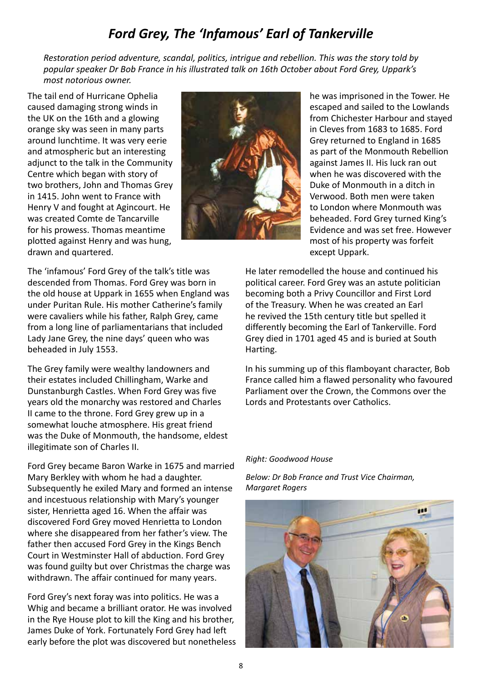# *Ford Grey, The 'Infamous' Earl of Tankerville*

*Restoration period adventure, scandal, politics, intrigue and rebellion. This was the story told by popular speaker Dr Bob France in his illustrated talk on 16th October about Ford Grey, Uppark's most notorious owner.*

The tail end of Hurricane Ophelia caused damaging strong winds in the UK on the 16th and a glowing orange sky was seen in many parts around lunchtime. It was very eerie and atmospheric but an interesting adjunct to the talk in the Community Centre which began with story of two brothers, John and Thomas Grey in 1415. John went to France with Henry V and fought at Agincourt. He was created Comte de Tancarville for his prowess. Thomas meantime plotted against Henry and was hung, drawn and quartered.



he was imprisoned in the Tower. He escaped and sailed to the Lowlands from Chichester Harbour and stayed in Cleves from 1683 to 1685. Ford Grey returned to England in 1685 as part of the Monmouth Rebellion against James II. His luck ran out when he was discovered with the Duke of Monmouth in a ditch in Verwood. Both men were taken to London where Monmouth was beheaded. Ford Grey turned King's Evidence and was set free. However most of his property was forfeit except Uppark.

The 'infamous' Ford Grey of the talk's title was descended from Thomas. Ford Grey was born in the old house at Uppark in 1655 when England was under Puritan Rule. His mother Catherine's family were cavaliers while his father, Ralph Grey, came from a long line of parliamentarians that included Lady Jane Grey, the nine days' queen who was beheaded in July 1553.

The Grey family were wealthy landowners and their estates included Chillingham, Warke and Dunstanburgh Castles. When Ford Grey was five years old the monarchy was restored and Charles II came to the throne. Ford Grey grew up in a somewhat louche atmosphere. His great friend was the Duke of Monmouth, the handsome, eldest illegitimate son of Charles II.

Ford Grey became Baron Warke in 1675 and married Mary Berkley with whom he had a daughter. Subsequently he exiled Mary and formed an intense and incestuous relationship with Mary's younger sister, Henrietta aged 16. When the affair was discovered Ford Grey moved Henrietta to London where she disappeared from her father's view. The father then accused Ford Grey in the Kings Bench Court in Westminster Hall of abduction. Ford Grey was found guilty but over Christmas the charge was withdrawn. The affair continued for many years.

Ford Grey's next foray was into politics. He was a Whig and became a brilliant orator. He was involved in the Rye House plot to kill the King and his brother, James Duke of York. Fortunately Ford Grey had left early before the plot was discovered but nonetheless He later remodelled the house and continued his political career. Ford Grey was an astute politician becoming both a Privy Councillor and First Lord of the Treasury. When he was created an Earl he revived the 15th century title but spelled it differently becoming the Earl of Tankerville. Ford Grey died in 1701 aged 45 and is buried at South Harting.

In his summing up of this flamboyant character, Bob France called him a flawed personality who favoured Parliament over the Crown, the Commons over the Lords and Protestants over Catholics.

#### *Right: Goodwood House*

*Below: Dr Bob France and Trust Vice Chairman, Margaret Rogers*

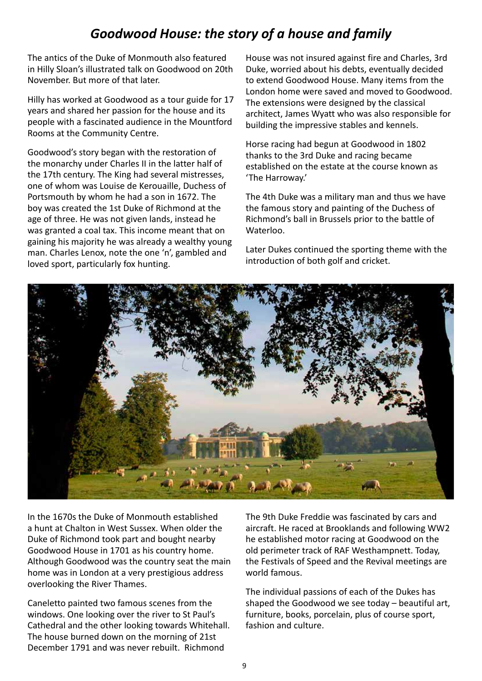# *Goodwood House: the story of a house and family*

The antics of the Duke of Monmouth also featured in Hilly Sloan's illustrated talk on Goodwood on 20th November. But more of that later.

Hilly has worked at Goodwood as a tour guide for 17 years and shared her passion for the house and its people with a fascinated audience in the Mountford Rooms at the Community Centre.

Goodwood's story began with the restoration of the monarchy under Charles II in the latter half of the 17th century. The King had several mistresses, one of whom was Louise de Kerouaille, Duchess of Portsmouth by whom he had a son in 1672. The boy was created the 1st Duke of Richmond at the age of three. He was not given lands, instead he was granted a coal tax. This income meant that on gaining his majority he was already a wealthy young man. Charles Lenox, note the one 'n', gambled and loved sport, particularly fox hunting.

House was not insured against fire and Charles, 3rd Duke, worried about his debts, eventually decided to extend Goodwood House. Many items from the London home were saved and moved to Goodwood. The extensions were designed by the classical architect, James Wyatt who was also responsible for building the impressive stables and kennels.

Horse racing had begun at Goodwood in 1802 thanks to the 3rd Duke and racing became established on the estate at the course known as 'The Harroway.'

The 4th Duke was a military man and thus we have the famous story and painting of the Duchess of Richmond's ball in Brussels prior to the battle of Waterloo.

Later Dukes continued the sporting theme with the introduction of both golf and cricket.



In the 1670s the Duke of Monmouth established a hunt at Chalton in West Sussex. When older the Duke of Richmond took part and bought nearby Goodwood House in 1701 as his country home. Although Goodwood was the country seat the main home was in London at a very prestigious address overlooking the River Thames.

Caneletto painted two famous scenes from the windows. One looking over the river to St Paul's Cathedral and the other looking towards Whitehall. The house burned down on the morning of 21st December 1791 and was never rebuilt. Richmond

The 9th Duke Freddie was fascinated by cars and aircraft. He raced at Brooklands and following WW2 he established motor racing at Goodwood on the old perimeter track of RAF Westhampnett. Today, the Festivals of Speed and the Revival meetings are world famous.

The individual passions of each of the Dukes has shaped the Goodwood we see today – beautiful art, furniture, books, porcelain, plus of course sport, fashion and culture.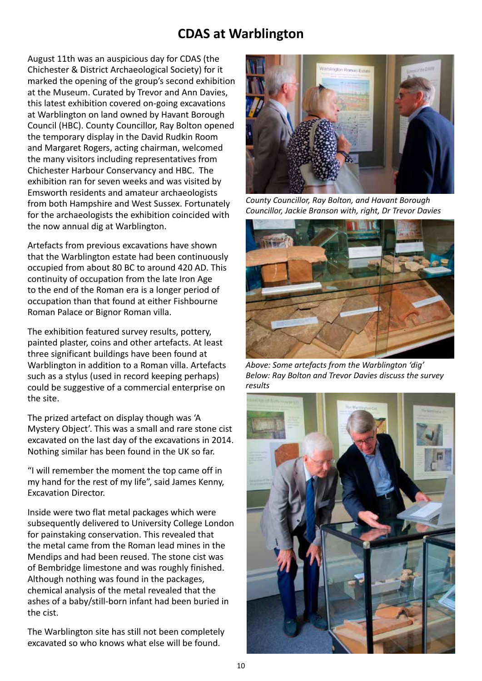### **CDAS at Warblington**

August 11th was an auspicious day for CDAS (the Chichester & District Archaeological Society) for it marked the opening of the group's second exhibition at the Museum. Curated by Trevor and Ann Davies, this latest exhibition covered on-going excavations at Warblington on land owned by Havant Borough Council (HBC). County Councillor, Ray Bolton opened the temporary display in the David Rudkin Room and Margaret Rogers, acting chairman, welcomed the many visitors including representatives from Chichester Harbour Conservancy and HBC. The exhibition ran for seven weeks and was visited by Emsworth residents and amateur archaeologists from both Hampshire and West Sussex. Fortunately for the archaeologists the exhibition coincided with the now annual dig at Warblington.

Artefacts from previous excavations have shown that the Warblington estate had been continuously occupied from about 80 BC to around 420 AD. This continuity of occupation from the late Iron Age to the end of the Roman era is a longer period of occupation than that found at either Fishbourne Roman Palace or Bignor Roman villa.

The exhibition featured survey results, pottery, painted plaster, coins and other artefacts. At least three significant buildings have been found at Warblington in addition to a Roman villa. Artefacts such as a stylus (used in record keeping perhaps) could be suggestive of a commercial enterprise on the site.

The prized artefact on display though was 'A Mystery Object'. This was a small and rare stone cist excavated on the last day of the excavations in 2014. Nothing similar has been found in the UK so far.

"I will remember the moment the top came off in my hand for the rest of my life", said James Kenny, Excavation Director.

Inside were two flat metal packages which were subsequently delivered to University College London for painstaking conservation. This revealed that the metal came from the Roman lead mines in the Mendips and had been reused. The stone cist was of Bembridge limestone and was roughly finished. Although nothing was found in the packages, chemical analysis of the metal revealed that the ashes of a baby/still-born infant had been buried in the cist.

The Warblington site has still not been completely excavated so who knows what else will be found.



*County Councillor, Ray Bolton, and Havant Borough Councillor, Jackie Branson with, right, Dr Trevor Davies*



*Above: Some artefacts from the Warblington 'dig' Below: Ray Bolton and Trevor Davies discuss the survey results*

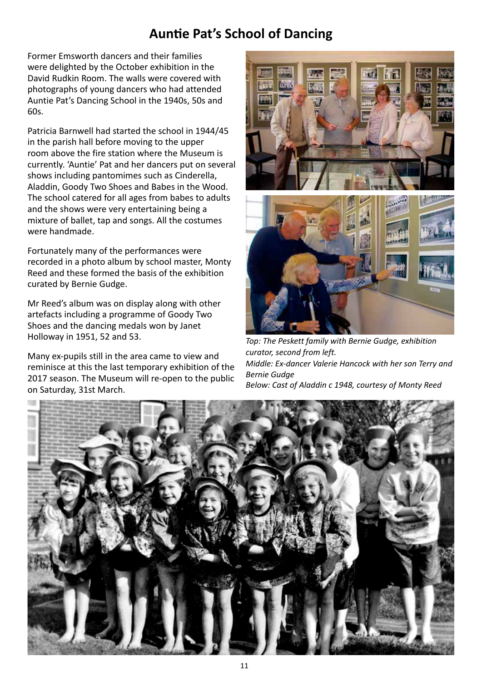# **Auntie Pat's School of Dancing**

Former Emsworth dancers and their families were delighted by the October exhibition in the David Rudkin Room. The walls were covered with photographs of young dancers who had attended Auntie Pat's Dancing School in the 1940s, 50s and 60s.

Patricia Barnwell had started the school in 1944/45 in the parish hall before moving to the upper room above the fire station where the Museum is currently. 'Auntie' Pat and her dancers put on several shows including pantomimes such as Cinderella, Aladdin, Goody Two Shoes and Babes in the Wood. The school catered for all ages from babes to adults and the shows were very entertaining being a mixture of ballet, tap and songs. All the costumes were handmade.

Fortunately many of the performances were recorded in a photo album by school master, Monty Reed and these formed the basis of the exhibition curated by Bernie Gudge.

Mr Reed's album was on display along with other artefacts including a programme of Goody Two Shoes and the dancing medals won by Janet Holloway in 1951, 52 and 53.

Many ex-pupils still in the area came to view and reminisce at this the last temporary exhibition of the 2017 season. The Museum will re-open to the public on Saturday, 31st March.



*Top: The Peskett family with Bernie Gudge, exhibition curator, second from left. Middle: Ex-dancer Valerie Hancock with her son Terry and Bernie Gudge Below: Cast of Aladdin c 1948, courtesy of Monty Reed*